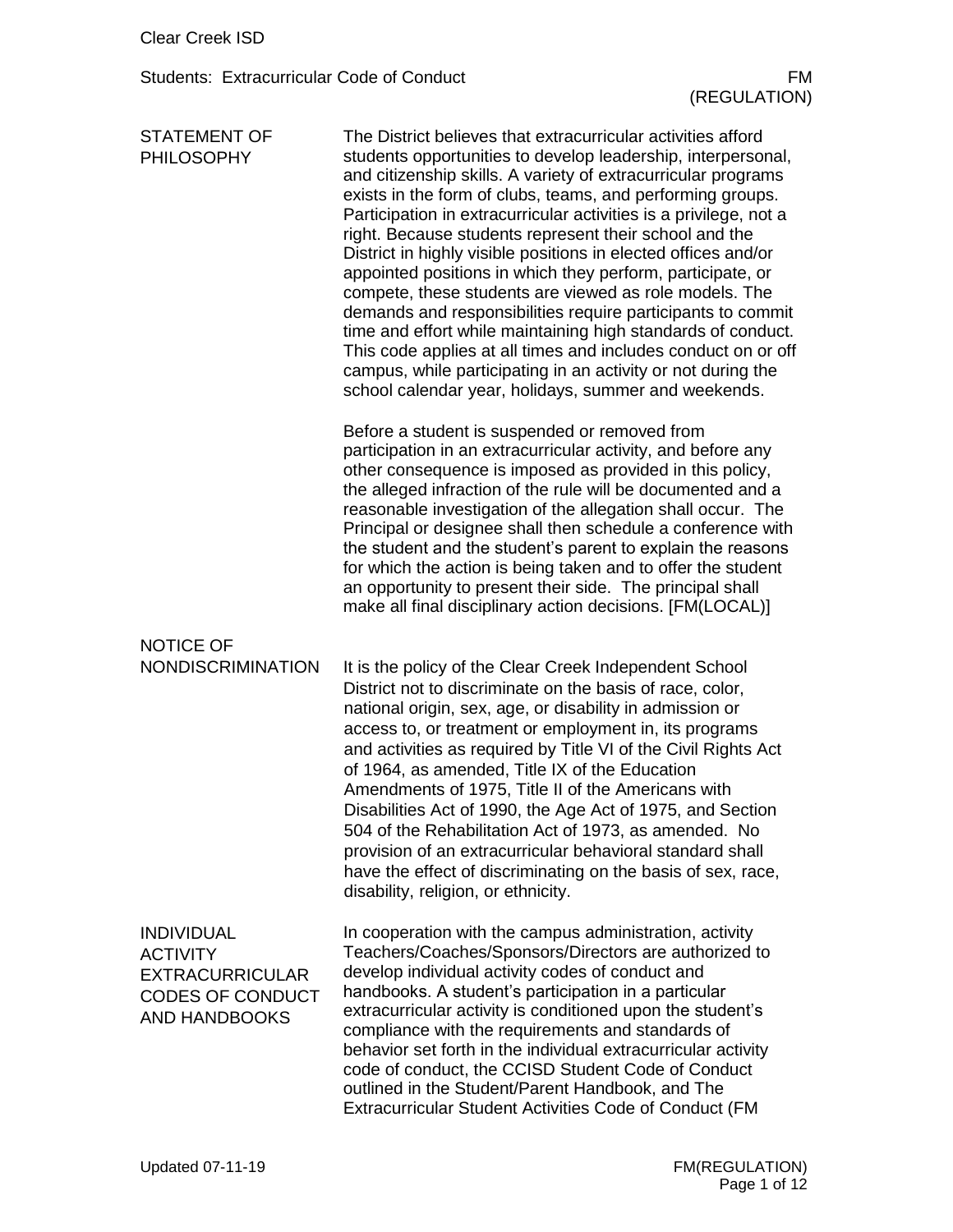| <b>STATEMENT OF</b><br><b>PHILOSOPHY</b>                                                                          | The District believes that extracurricular activities afford<br>students opportunities to develop leadership, interpersonal,<br>and citizenship skills. A variety of extracurricular programs<br>exists in the form of clubs, teams, and performing groups.<br>Participation in extracurricular activities is a privilege, not a<br>right. Because students represent their school and the<br>District in highly visible positions in elected offices and/or<br>appointed positions in which they perform, participate, or<br>compete, these students are viewed as role models. The<br>demands and responsibilities require participants to commit<br>time and effort while maintaining high standards of conduct.<br>This code applies at all times and includes conduct on or off<br>campus, while participating in an activity or not during the<br>school calendar year, holidays, summer and weekends. |
|-------------------------------------------------------------------------------------------------------------------|--------------------------------------------------------------------------------------------------------------------------------------------------------------------------------------------------------------------------------------------------------------------------------------------------------------------------------------------------------------------------------------------------------------------------------------------------------------------------------------------------------------------------------------------------------------------------------------------------------------------------------------------------------------------------------------------------------------------------------------------------------------------------------------------------------------------------------------------------------------------------------------------------------------|
|                                                                                                                   | Before a student is suspended or removed from<br>participation in an extracurricular activity, and before any<br>other consequence is imposed as provided in this policy,<br>the alleged infraction of the rule will be documented and a<br>reasonable investigation of the allegation shall occur. The<br>Principal or designee shall then schedule a conference with<br>the student and the student's parent to explain the reasons<br>for which the action is being taken and to offer the student<br>an opportunity to present their side. The principal shall<br>make all final disciplinary action decisions. [FM(LOCAL)]                                                                                                                                                                                                                                                                              |
| <b>NOTICE OF</b><br><b>NONDISCRIMINATION</b>                                                                      | It is the policy of the Clear Creek Independent School<br>District not to discriminate on the basis of race, color,<br>national origin, sex, age, or disability in admission or<br>access to, or treatment or employment in, its programs<br>and activities as required by Title VI of the Civil Rights Act<br>of 1964, as amended, Title IX of the Education<br>Amendments of 1975, Title II of the Americans with<br>Disabilities Act of 1990, the Age Act of 1975, and Section<br>504 of the Rehabilitation Act of 1973, as amended. No<br>provision of an extracurricular behavioral standard shall<br>have the effect of discriminating on the basis of sex, race,<br>disability, religion, or ethnicity.                                                                                                                                                                                               |
| <b>INDIVIDUAL</b><br><b>ACTIVITY</b><br><b>EXTRACURRICULAR</b><br><b>CODES OF CONDUCT</b><br><b>AND HANDBOOKS</b> | In cooperation with the campus administration, activity<br>Teachers/Coaches/Sponsors/Directors are authorized to<br>develop individual activity codes of conduct and<br>handbooks. A student's participation in a particular<br>extracurricular activity is conditioned upon the student's<br>compliance with the requirements and standards of<br>behavior set forth in the individual extracurricular activity<br>code of conduct, the CCISD Student Code of Conduct<br>outlined in the Student/Parent Handbook, and The<br><b>Extracurricular Student Activities Code of Conduct (FM</b>                                                                                                                                                                                                                                                                                                                  |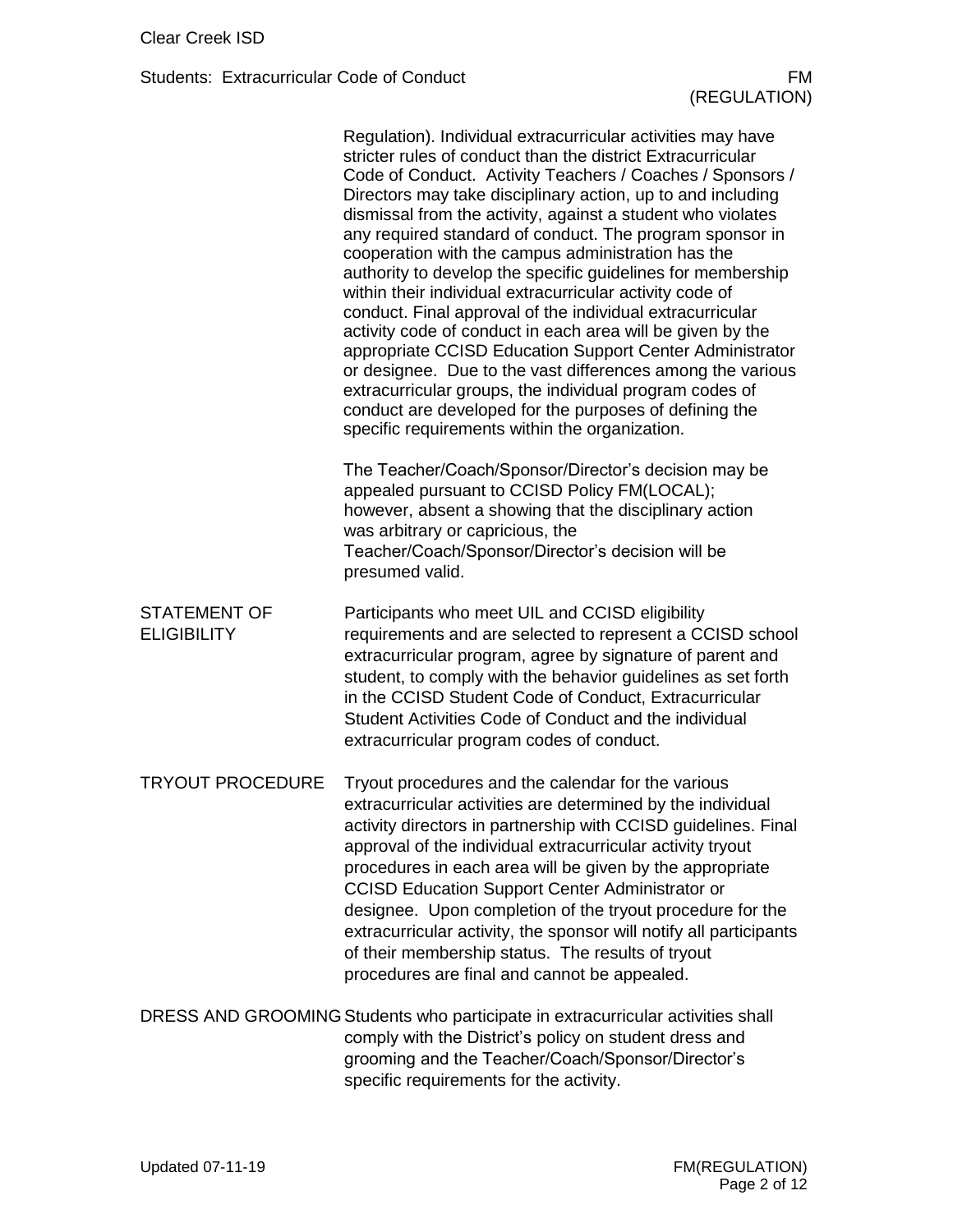|                                           | Regulation). Individual extracurricular activities may have<br>stricter rules of conduct than the district Extracurricular<br>Code of Conduct. Activity Teachers / Coaches / Sponsors /<br>Directors may take disciplinary action, up to and including<br>dismissal from the activity, against a student who violates<br>any required standard of conduct. The program sponsor in<br>cooperation with the campus administration has the<br>authority to develop the specific guidelines for membership<br>within their individual extracurricular activity code of<br>conduct. Final approval of the individual extracurricular<br>activity code of conduct in each area will be given by the<br>appropriate CCISD Education Support Center Administrator<br>or designee. Due to the vast differences among the various<br>extracurricular groups, the individual program codes of<br>conduct are developed for the purposes of defining the<br>specific requirements within the organization. |
|-------------------------------------------|------------------------------------------------------------------------------------------------------------------------------------------------------------------------------------------------------------------------------------------------------------------------------------------------------------------------------------------------------------------------------------------------------------------------------------------------------------------------------------------------------------------------------------------------------------------------------------------------------------------------------------------------------------------------------------------------------------------------------------------------------------------------------------------------------------------------------------------------------------------------------------------------------------------------------------------------------------------------------------------------|
|                                           | The Teacher/Coach/Sponsor/Director's decision may be<br>appealed pursuant to CCISD Policy FM(LOCAL);<br>however, absent a showing that the disciplinary action<br>was arbitrary or capricious, the<br>Teacher/Coach/Sponsor/Director's decision will be<br>presumed valid.                                                                                                                                                                                                                                                                                                                                                                                                                                                                                                                                                                                                                                                                                                                     |
| <b>STATEMENT OF</b><br><b>ELIGIBILITY</b> | Participants who meet UIL and CCISD eligibility<br>requirements and are selected to represent a CCISD school<br>extracurricular program, agree by signature of parent and<br>student, to comply with the behavior guidelines as set forth<br>in the CCISD Student Code of Conduct, Extracurricular<br>Student Activities Code of Conduct and the individual<br>extracurricular program codes of conduct.                                                                                                                                                                                                                                                                                                                                                                                                                                                                                                                                                                                       |
| <b>TRYOUT PROCEDURE</b>                   | Tryout procedures and the calendar for the various<br>extracurricular activities are determined by the individual<br>activity directors in partnership with CCISD guidelines. Final<br>approval of the individual extracurricular activity tryout<br>procedures in each area will be given by the appropriate<br><b>CCISD Education Support Center Administrator or</b><br>designee. Upon completion of the tryout procedure for the<br>extracurricular activity, the sponsor will notify all participants<br>of their membership status. The results of tryout<br>procedures are final and cannot be appealed.                                                                                                                                                                                                                                                                                                                                                                                |
|                                           | DRESS AND GROOMING Students who participate in extracurricular activities shall<br>comply with the District's policy on student dress and<br>grooming and the Teacher/Coach/Sponsor/Director's<br>specific requirements for the activity.                                                                                                                                                                                                                                                                                                                                                                                                                                                                                                                                                                                                                                                                                                                                                      |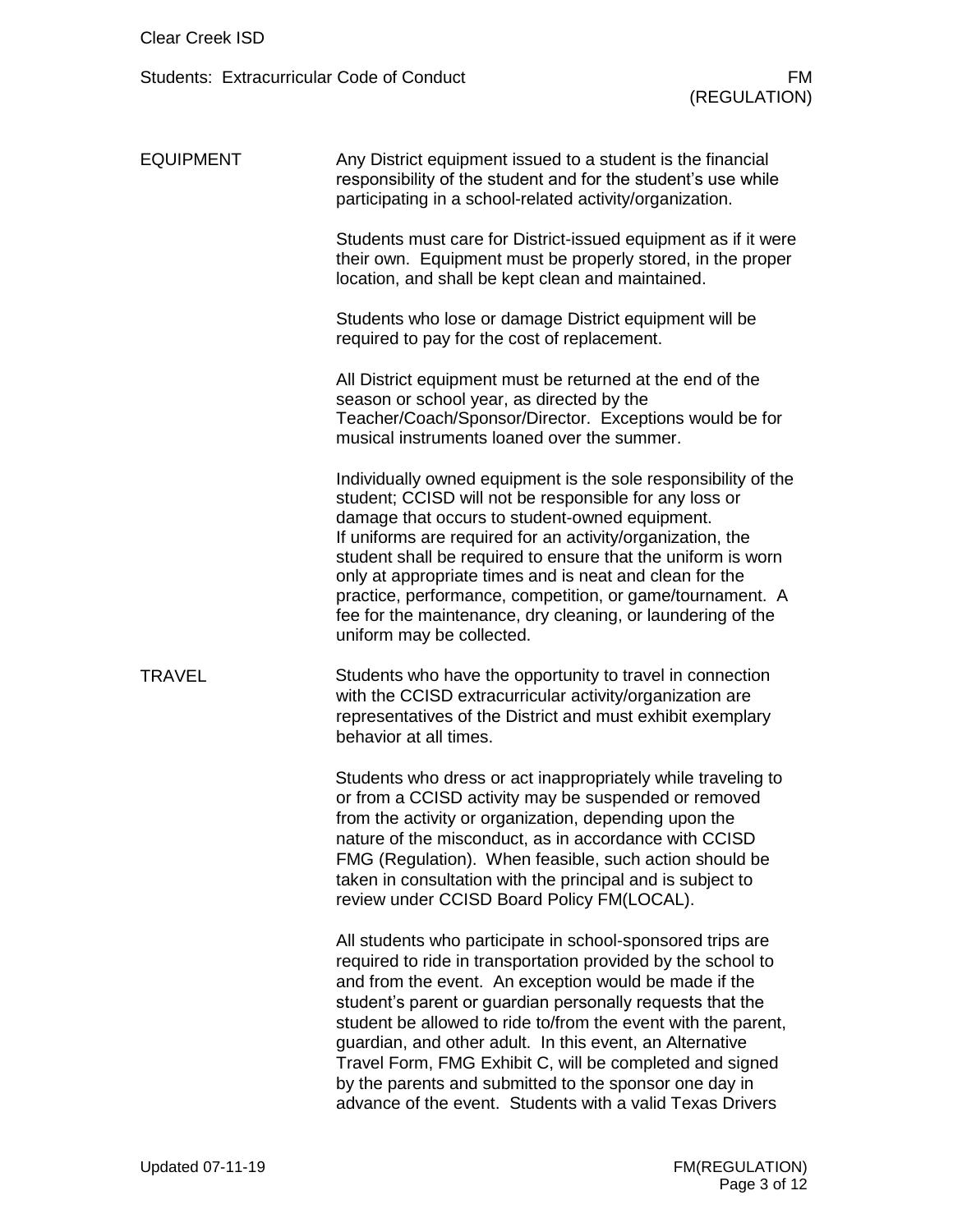| <b>EQUIPMENT</b> | Any District equipment issued to a student is the financial<br>responsibility of the student and for the student's use while<br>participating in a school-related activity/organization.                                                                                                                                                                                                                                                                                                                                                                         |
|------------------|------------------------------------------------------------------------------------------------------------------------------------------------------------------------------------------------------------------------------------------------------------------------------------------------------------------------------------------------------------------------------------------------------------------------------------------------------------------------------------------------------------------------------------------------------------------|
|                  | Students must care for District-issued equipment as if it were<br>their own. Equipment must be properly stored, in the proper<br>location, and shall be kept clean and maintained.                                                                                                                                                                                                                                                                                                                                                                               |
|                  | Students who lose or damage District equipment will be<br>required to pay for the cost of replacement.                                                                                                                                                                                                                                                                                                                                                                                                                                                           |
|                  | All District equipment must be returned at the end of the<br>season or school year, as directed by the<br>Teacher/Coach/Sponsor/Director. Exceptions would be for<br>musical instruments loaned over the summer.                                                                                                                                                                                                                                                                                                                                                 |
|                  | Individually owned equipment is the sole responsibility of the<br>student; CCISD will not be responsible for any loss or<br>damage that occurs to student-owned equipment.<br>If uniforms are required for an activity/organization, the<br>student shall be required to ensure that the uniform is worn<br>only at appropriate times and is neat and clean for the<br>practice, performance, competition, or game/tournament. A<br>fee for the maintenance, dry cleaning, or laundering of the<br>uniform may be collected.                                     |
| TRAVEL           | Students who have the opportunity to travel in connection<br>with the CCISD extracurricular activity/organization are<br>representatives of the District and must exhibit exemplary<br>behavior at all times.                                                                                                                                                                                                                                                                                                                                                    |
|                  | Students who dress or act inappropriately while traveling to<br>or from a CCISD activity may be suspended or removed<br>from the activity or organization, depending upon the<br>nature of the misconduct, as in accordance with CCISD<br>FMG (Regulation). When feasible, such action should be<br>taken in consultation with the principal and is subject to<br>review under CCISD Board Policy FM(LOCAL).                                                                                                                                                     |
|                  | All students who participate in school-sponsored trips are<br>required to ride in transportation provided by the school to<br>and from the event. An exception would be made if the<br>student's parent or guardian personally requests that the<br>student be allowed to ride to/from the event with the parent,<br>guardian, and other adult. In this event, an Alternative<br>Travel Form, FMG Exhibit C, will be completed and signed<br>by the parents and submitted to the sponsor one day in<br>advance of the event. Students with a valid Texas Drivers |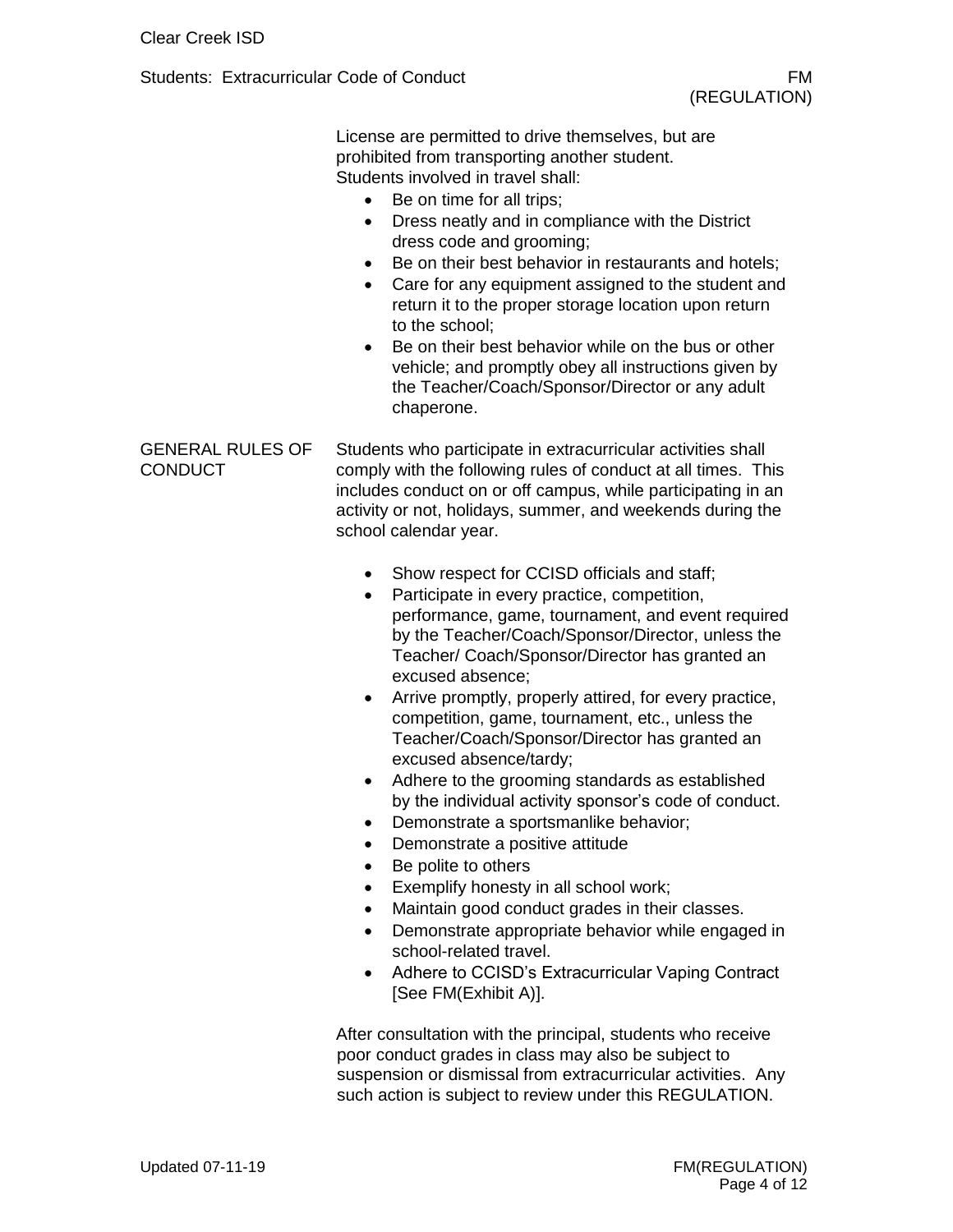|                                           | License are permitted to drive themselves, but are<br>prohibited from transporting another student.<br>Students involved in travel shall:<br>Be on time for all trips;<br>$\bullet$<br>Dress neatly and in compliance with the District<br>$\bullet$<br>dress code and grooming;<br>Be on their best behavior in restaurants and hotels;<br>٠<br>Care for any equipment assigned to the student and<br>$\bullet$<br>return it to the proper storage location upon return<br>to the school:<br>Be on their best behavior while on the bus or other<br>$\bullet$<br>vehicle; and promptly obey all instructions given by<br>the Teacher/Coach/Sponsor/Director or any adult<br>chaperone.                                                                                                                                                                                                                                                                                                                                                                                                                                                                                                                                                                                                                                    |
|-------------------------------------------|----------------------------------------------------------------------------------------------------------------------------------------------------------------------------------------------------------------------------------------------------------------------------------------------------------------------------------------------------------------------------------------------------------------------------------------------------------------------------------------------------------------------------------------------------------------------------------------------------------------------------------------------------------------------------------------------------------------------------------------------------------------------------------------------------------------------------------------------------------------------------------------------------------------------------------------------------------------------------------------------------------------------------------------------------------------------------------------------------------------------------------------------------------------------------------------------------------------------------------------------------------------------------------------------------------------------------|
| <b>GENERAL RULES OF</b><br><b>CONDUCT</b> | Students who participate in extracurricular activities shall<br>comply with the following rules of conduct at all times. This<br>includes conduct on or off campus, while participating in an<br>activity or not, holidays, summer, and weekends during the<br>school calendar year.<br>Show respect for CCISD officials and staff;<br>$\bullet$<br>Participate in every practice, competition,<br>$\bullet$<br>performance, game, tournament, and event required<br>by the Teacher/Coach/Sponsor/Director, unless the<br>Teacher/ Coach/Sponsor/Director has granted an<br>excused absence;<br>Arrive promptly, properly attired, for every practice,<br>٠<br>competition, game, tournament, etc., unless the<br>Teacher/Coach/Sponsor/Director has granted an<br>excused absence/tardy;<br>Adhere to the grooming standards as established<br>٠<br>by the individual activity sponsor's code of conduct.<br>Demonstrate a sportsmanlike behavior;<br>Demonstrate a positive attitude<br>٠<br>Be polite to others<br>٠<br>Exemplify honesty in all school work;<br>٠<br>Maintain good conduct grades in their classes.<br>$\bullet$<br>Demonstrate appropriate behavior while engaged in<br>$\bullet$<br>school-related travel.<br>Adhere to CCISD's Extracurricular Vaping Contract<br>$\bullet$<br>[See FM(Exhibit A)]. |
|                                           | After consultation with the principal, students who receive                                                                                                                                                                                                                                                                                                                                                                                                                                                                                                                                                                                                                                                                                                                                                                                                                                                                                                                                                                                                                                                                                                                                                                                                                                                                |

poor conduct grades in class may also be subject to suspension or dismissal from extracurricular activities. Any such action is subject to review under this REGULATION.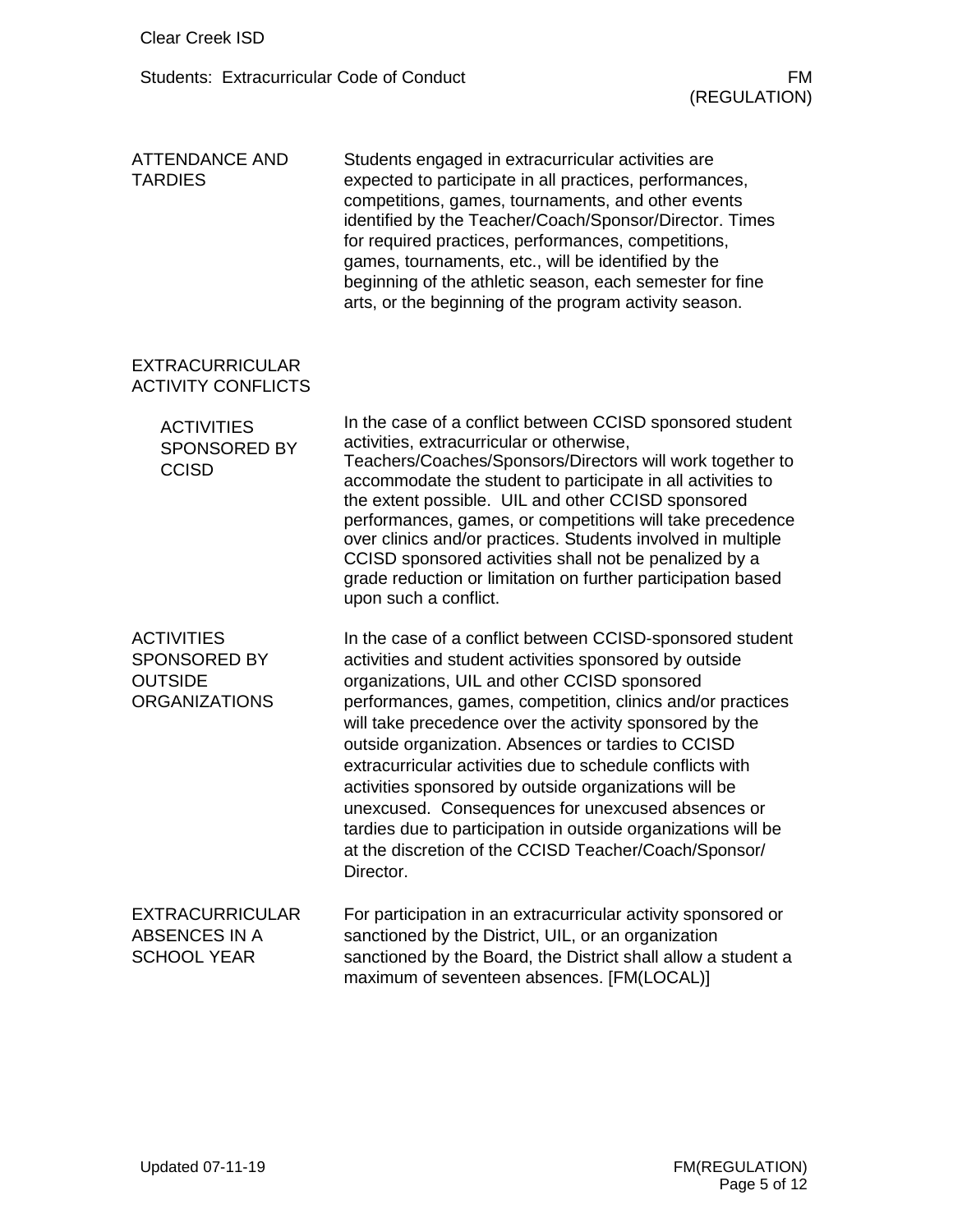| <b>ATTENDANCE AND</b><br><b>TARDIES</b>                                            | Students engaged in extracurricular activities are<br>expected to participate in all practices, performances,<br>competitions, games, tournaments, and other events<br>identified by the Teacher/Coach/Sponsor/Director. Times<br>for required practices, performances, competitions,<br>games, tournaments, etc., will be identified by the<br>beginning of the athletic season, each semester for fine<br>arts, or the beginning of the program activity season.                                                                                                                                                                                                   |
|------------------------------------------------------------------------------------|----------------------------------------------------------------------------------------------------------------------------------------------------------------------------------------------------------------------------------------------------------------------------------------------------------------------------------------------------------------------------------------------------------------------------------------------------------------------------------------------------------------------------------------------------------------------------------------------------------------------------------------------------------------------|
| <b>EXTRACURRICULAR</b><br><b>ACTIVITY CONFLICTS</b>                                |                                                                                                                                                                                                                                                                                                                                                                                                                                                                                                                                                                                                                                                                      |
| <b>ACTIVITIES</b><br><b>SPONSORED BY</b><br><b>CCISD</b>                           | In the case of a conflict between CCISD sponsored student<br>activities, extracurricular or otherwise,<br>Teachers/Coaches/Sponsors/Directors will work together to<br>accommodate the student to participate in all activities to<br>the extent possible. UIL and other CCISD sponsored<br>performances, games, or competitions will take precedence<br>over clinics and/or practices. Students involved in multiple<br>CCISD sponsored activities shall not be penalized by a<br>grade reduction or limitation on further participation based<br>upon such a conflict.                                                                                             |
| <b>ACTIVITIES</b><br><b>SPONSORED BY</b><br><b>OUTSIDE</b><br><b>ORGANIZATIONS</b> | In the case of a conflict between CCISD-sponsored student<br>activities and student activities sponsored by outside<br>organizations, UIL and other CCISD sponsored<br>performances, games, competition, clinics and/or practices<br>will take precedence over the activity sponsored by the<br>outside organization. Absences or tardies to CCISD<br>extracurricular activities due to schedule conflicts with<br>activities sponsored by outside organizations will be<br>unexcused. Consequences for unexcused absences or<br>tardies due to participation in outside organizations will be<br>at the discretion of the CCISD Teacher/Coach/Sponsor/<br>Director. |
| <b>EXTRACURRICULAR</b><br><b>ABSENCES IN A</b><br><b>SCHOOL YEAR</b>               | For participation in an extracurricular activity sponsored or<br>sanctioned by the District, UIL, or an organization<br>sanctioned by the Board, the District shall allow a student a<br>maximum of seventeen absences. [FM(LOCAL)]                                                                                                                                                                                                                                                                                                                                                                                                                                  |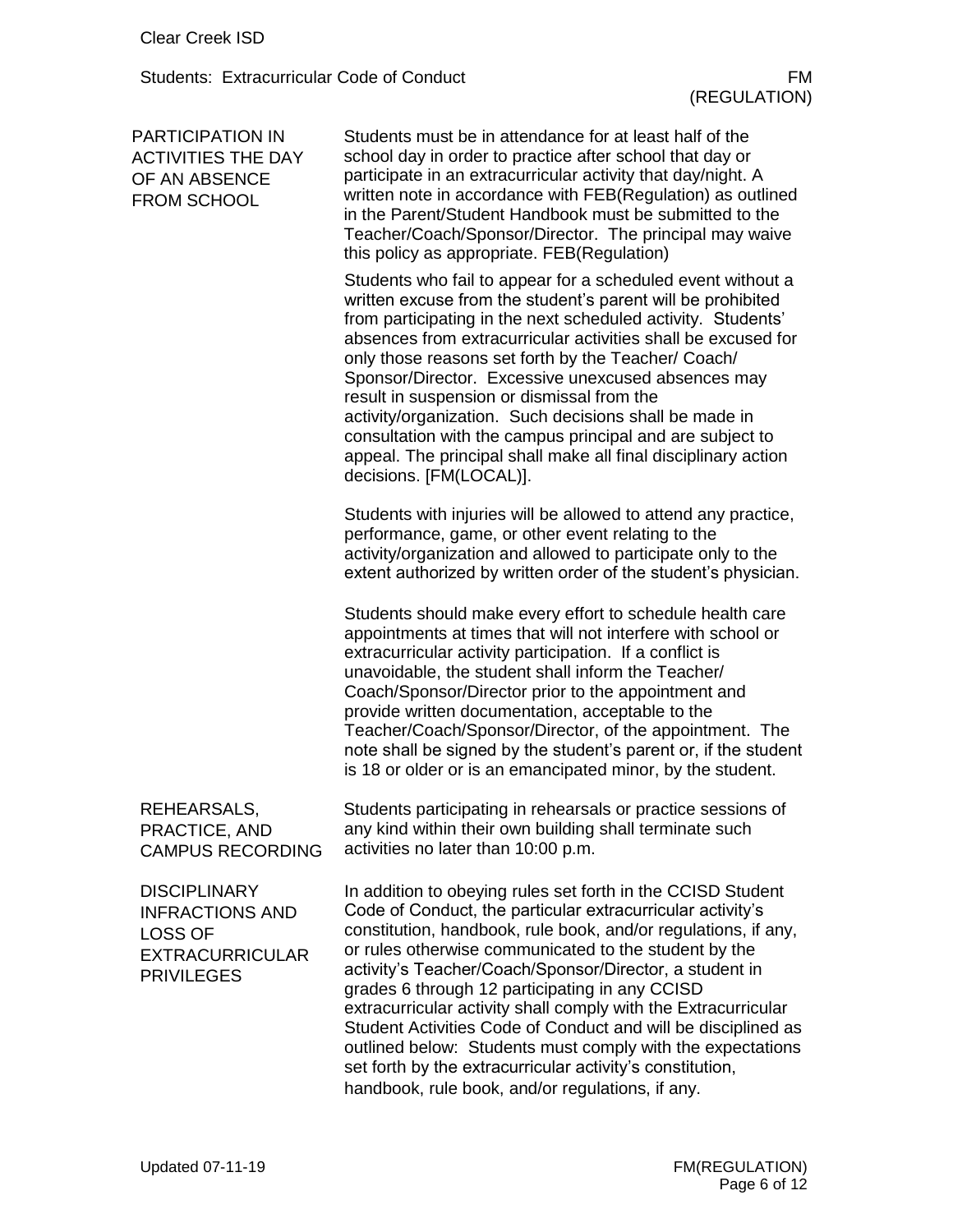| <b>PARTICIPATION IN</b><br><b>ACTIVITIES THE DAY</b><br>OF AN ABSENCE<br>FROM SCHOOL                           | Students must be in attendance for at least half of the<br>school day in order to practice after school that day or<br>participate in an extracurricular activity that day/night. A<br>written note in accordance with FEB(Regulation) as outlined<br>in the Parent/Student Handbook must be submitted to the<br>Teacher/Coach/Sponsor/Director. The principal may waive<br>this policy as appropriate. FEB(Regulation)                                                                                                                                                                                                                                                             |
|----------------------------------------------------------------------------------------------------------------|-------------------------------------------------------------------------------------------------------------------------------------------------------------------------------------------------------------------------------------------------------------------------------------------------------------------------------------------------------------------------------------------------------------------------------------------------------------------------------------------------------------------------------------------------------------------------------------------------------------------------------------------------------------------------------------|
|                                                                                                                | Students who fail to appear for a scheduled event without a<br>written excuse from the student's parent will be prohibited<br>from participating in the next scheduled activity. Students'<br>absences from extracurricular activities shall be excused for<br>only those reasons set forth by the Teacher/ Coach/<br>Sponsor/Director. Excessive unexcused absences may<br>result in suspension or dismissal from the<br>activity/organization. Such decisions shall be made in<br>consultation with the campus principal and are subject to<br>appeal. The principal shall make all final disciplinary action<br>decisions. [FM(LOCAL)].                                          |
|                                                                                                                | Students with injuries will be allowed to attend any practice,<br>performance, game, or other event relating to the<br>activity/organization and allowed to participate only to the<br>extent authorized by written order of the student's physician.                                                                                                                                                                                                                                                                                                                                                                                                                               |
|                                                                                                                | Students should make every effort to schedule health care<br>appointments at times that will not interfere with school or<br>extracurricular activity participation. If a conflict is<br>unavoidable, the student shall inform the Teacher/<br>Coach/Sponsor/Director prior to the appointment and<br>provide written documentation, acceptable to the<br>Teacher/Coach/Sponsor/Director, of the appointment. The<br>note shall be signed by the student's parent or, if the student<br>is 18 or older or is an emancipated minor, by the student.                                                                                                                                  |
| REHEARSALS,<br>PRACTICE, AND<br><b>CAMPUS RECORDING</b>                                                        | Students participating in rehearsals or practice sessions of<br>any kind within their own building shall terminate such<br>activities no later than 10:00 p.m.                                                                                                                                                                                                                                                                                                                                                                                                                                                                                                                      |
| <b>DISCIPLINARY</b><br><b>INFRACTIONS AND</b><br><b>LOSS OF</b><br><b>EXTRACURRICULAR</b><br><b>PRIVILEGES</b> | In addition to obeying rules set forth in the CCISD Student<br>Code of Conduct, the particular extracurricular activity's<br>constitution, handbook, rule book, and/or regulations, if any,<br>or rules otherwise communicated to the student by the<br>activity's Teacher/Coach/Sponsor/Director, a student in<br>grades 6 through 12 participating in any CCISD<br>extracurricular activity shall comply with the Extracurricular<br>Student Activities Code of Conduct and will be disciplined as<br>outlined below: Students must comply with the expectations<br>set forth by the extracurricular activity's constitution,<br>handbook, rule book, and/or regulations, if any. |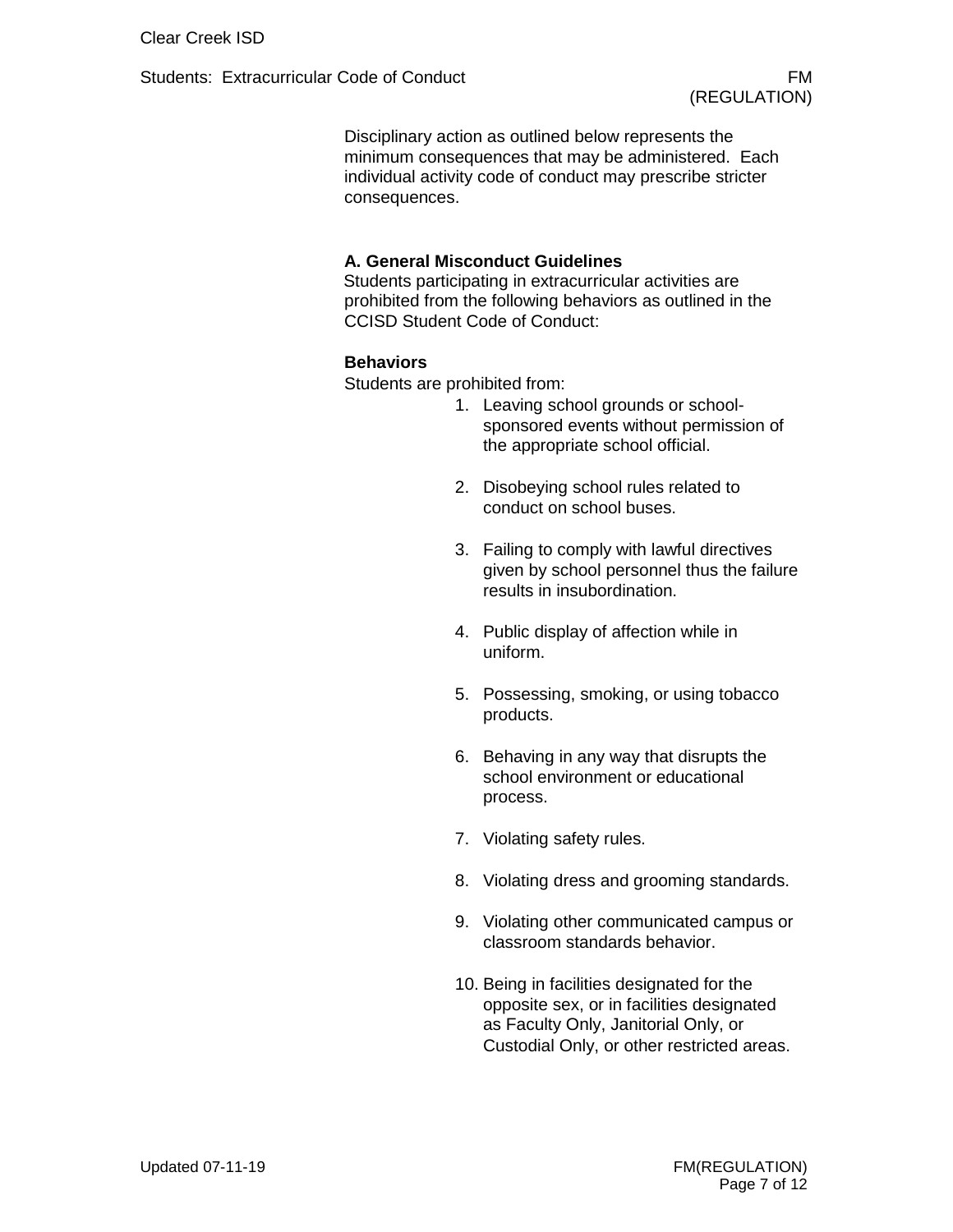Disciplinary action as outlined below represents the minimum consequences that may be administered. Each individual activity code of conduct may prescribe stricter consequences.

#### **A. General Misconduct Guidelines**

Students participating in extracurricular activities are prohibited from the following behaviors as outlined in the CCISD Student Code of Conduct:

#### **Behaviors**

Students are prohibited from:

- 1. Leaving school grounds or schoolsponsored events without permission of the appropriate school official.
- 2. Disobeying school rules related to conduct on school buses.
- 3. Failing to comply with lawful directives given by school personnel thus the failure results in insubordination.
- 4. Public display of affection while in uniform.
- 5. Possessing, smoking, or using tobacco products.
- 6. Behaving in any way that disrupts the school environment or educational process.
- 7. Violating safety rules.
- 8. Violating dress and grooming standards.
- 9. Violating other communicated campus or classroom standards behavior.
- 10. Being in facilities designated for the opposite sex, or in facilities designated as Faculty Only, Janitorial Only, or Custodial Only, or other restricted areas.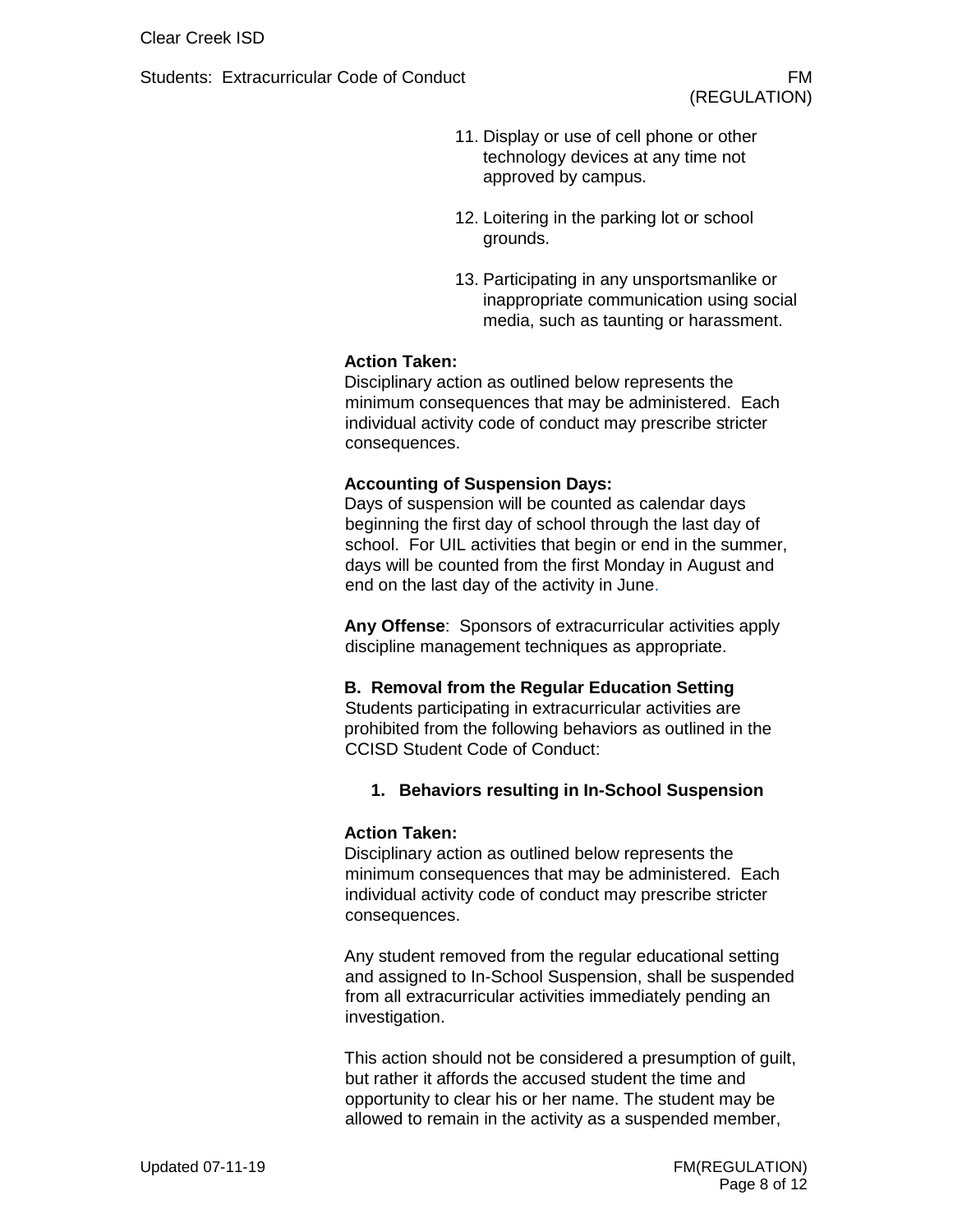- 11. Display or use of cell phone or other technology devices at any time not approved by campus.
- 12. Loitering in the parking lot or school grounds.
- 13. Participating in any unsportsmanlike or inappropriate communication using social media, such as taunting or harassment.

## **Action Taken:**

Disciplinary action as outlined below represents the minimum consequences that may be administered. Each individual activity code of conduct may prescribe stricter consequences.

#### **Accounting of Suspension Days:**

Days of suspension will be counted as calendar days beginning the first day of school through the last day of school. For UIL activities that begin or end in the summer, days will be counted from the first Monday in August and end on the last day of the activity in June.

**Any Offense**: Sponsors of extracurricular activities apply discipline management techniques as appropriate.

#### **B. Removal from the Regular Education Setting**

Students participating in extracurricular activities are prohibited from the following behaviors as outlined in the CCISD Student Code of Conduct:

## **1. Behaviors resulting in In-School Suspension**

#### **Action Taken:**

Disciplinary action as outlined below represents the minimum consequences that may be administered. Each individual activity code of conduct may prescribe stricter consequences.

Any student removed from the regular educational setting and assigned to In-School Suspension, shall be suspended from all extracurricular activities immediately pending an investigation.

This action should not be considered a presumption of guilt, but rather it affords the accused student the time and opportunity to clear his or her name. The student may be allowed to remain in the activity as a suspended member,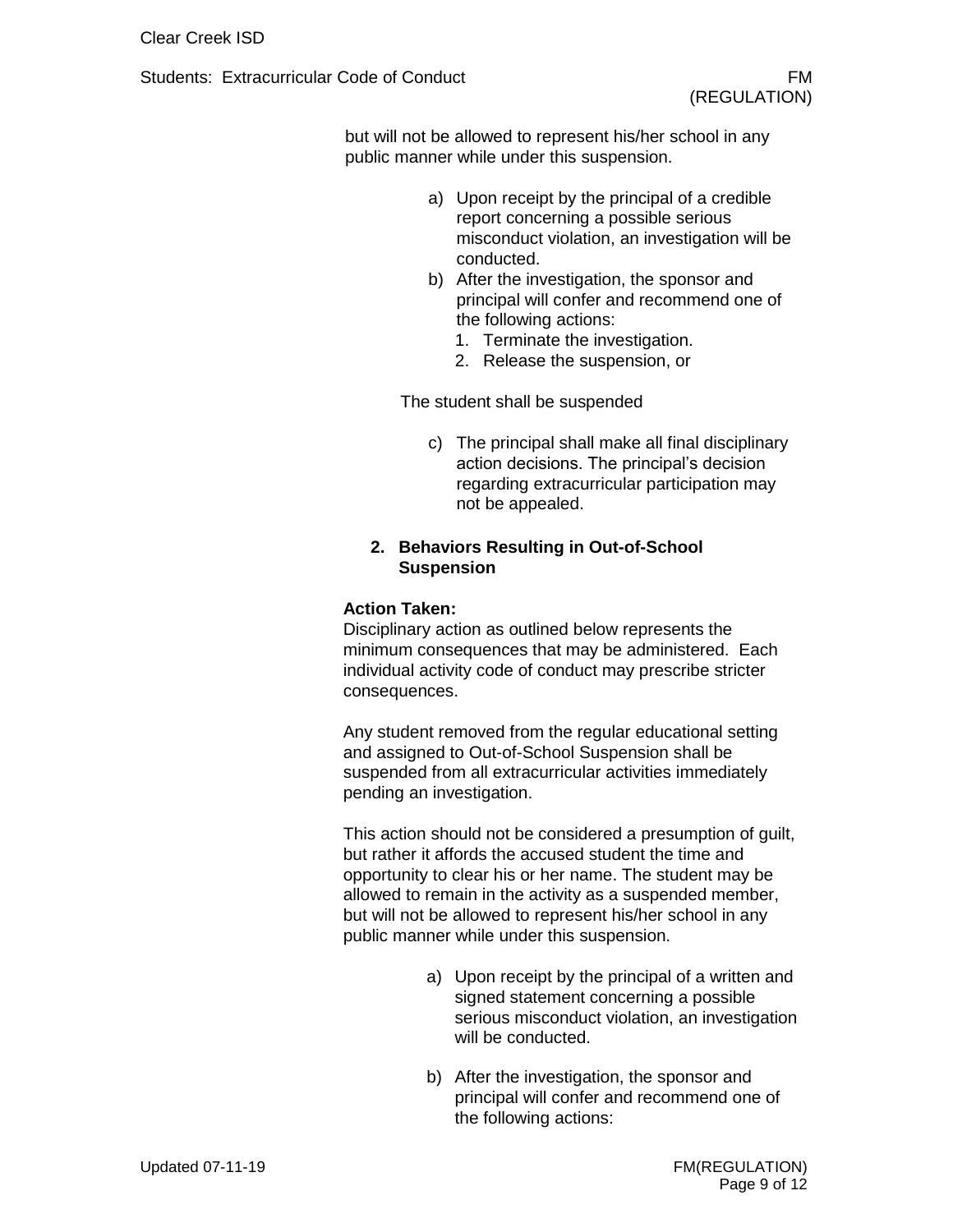but will not be allowed to represent his/her school in any public manner while under this suspension.

- a) Upon receipt by the principal of a credible report concerning a possible serious misconduct violation, an investigation will be conducted.
- b) After the investigation, the sponsor and principal will confer and recommend one of the following actions:
	- 1. Terminate the investigation.
	- 2. Release the suspension, or

The student shall be suspended

c) The principal shall make all final disciplinary action decisions. The principal's decision regarding extracurricular participation may not be appealed.

# **2. Behaviors Resulting in Out-of-School Suspension**

## **Action Taken:**

Disciplinary action as outlined below represents the minimum consequences that may be administered. Each individual activity code of conduct may prescribe stricter consequences.

Any student removed from the regular educational setting and assigned to Out-of-School Suspension shall be suspended from all extracurricular activities immediately pending an investigation.

This action should not be considered a presumption of guilt, but rather it affords the accused student the time and opportunity to clear his or her name. The student may be allowed to remain in the activity as a suspended member, but will not be allowed to represent his/her school in any public manner while under this suspension.

- a) Upon receipt by the principal of a written and signed statement concerning a possible serious misconduct violation, an investigation will be conducted.
- b) After the investigation, the sponsor and principal will confer and recommend one of the following actions: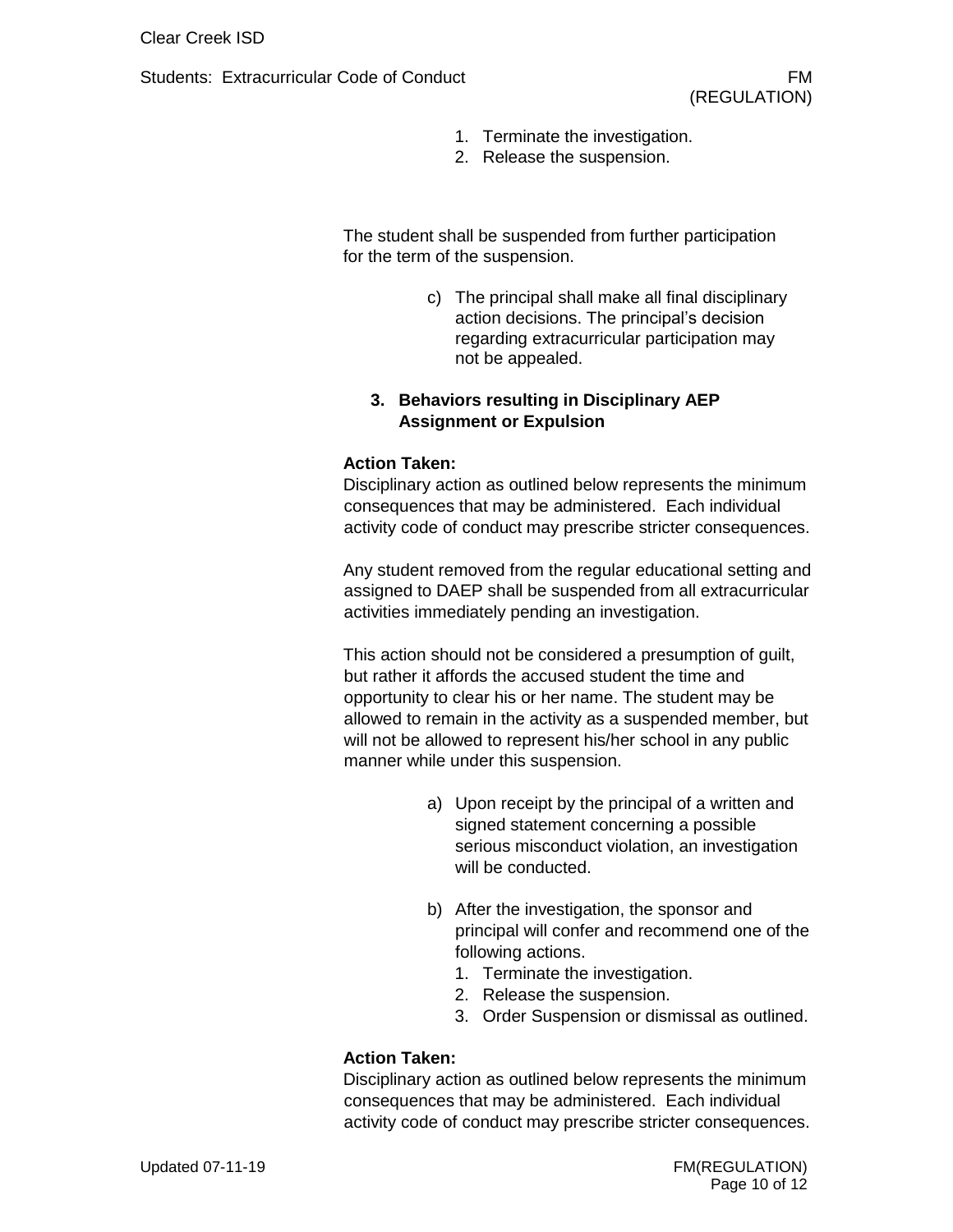- 1. Terminate the investigation.
- 2. Release the suspension.

The student shall be suspended from further participation for the term of the suspension.

> c) The principal shall make all final disciplinary action decisions. The principal's decision regarding extracurricular participation may not be appealed.

# **3. Behaviors resulting in Disciplinary AEP Assignment or Expulsion**

#### **Action Taken:**

Disciplinary action as outlined below represents the minimum consequences that may be administered. Each individual activity code of conduct may prescribe stricter consequences.

Any student removed from the regular educational setting and assigned to DAEP shall be suspended from all extracurricular activities immediately pending an investigation.

This action should not be considered a presumption of guilt, but rather it affords the accused student the time and opportunity to clear his or her name. The student may be allowed to remain in the activity as a suspended member, but will not be allowed to represent his/her school in any public manner while under this suspension.

- a) Upon receipt by the principal of a written and signed statement concerning a possible serious misconduct violation, an investigation will be conducted.
- b) After the investigation, the sponsor and principal will confer and recommend one of the following actions.
	- 1. Terminate the investigation.
	- 2. Release the suspension.
	- 3. Order Suspension or dismissal as outlined.

## **Action Taken:**

Disciplinary action as outlined below represents the minimum consequences that may be administered. Each individual activity code of conduct may prescribe stricter consequences.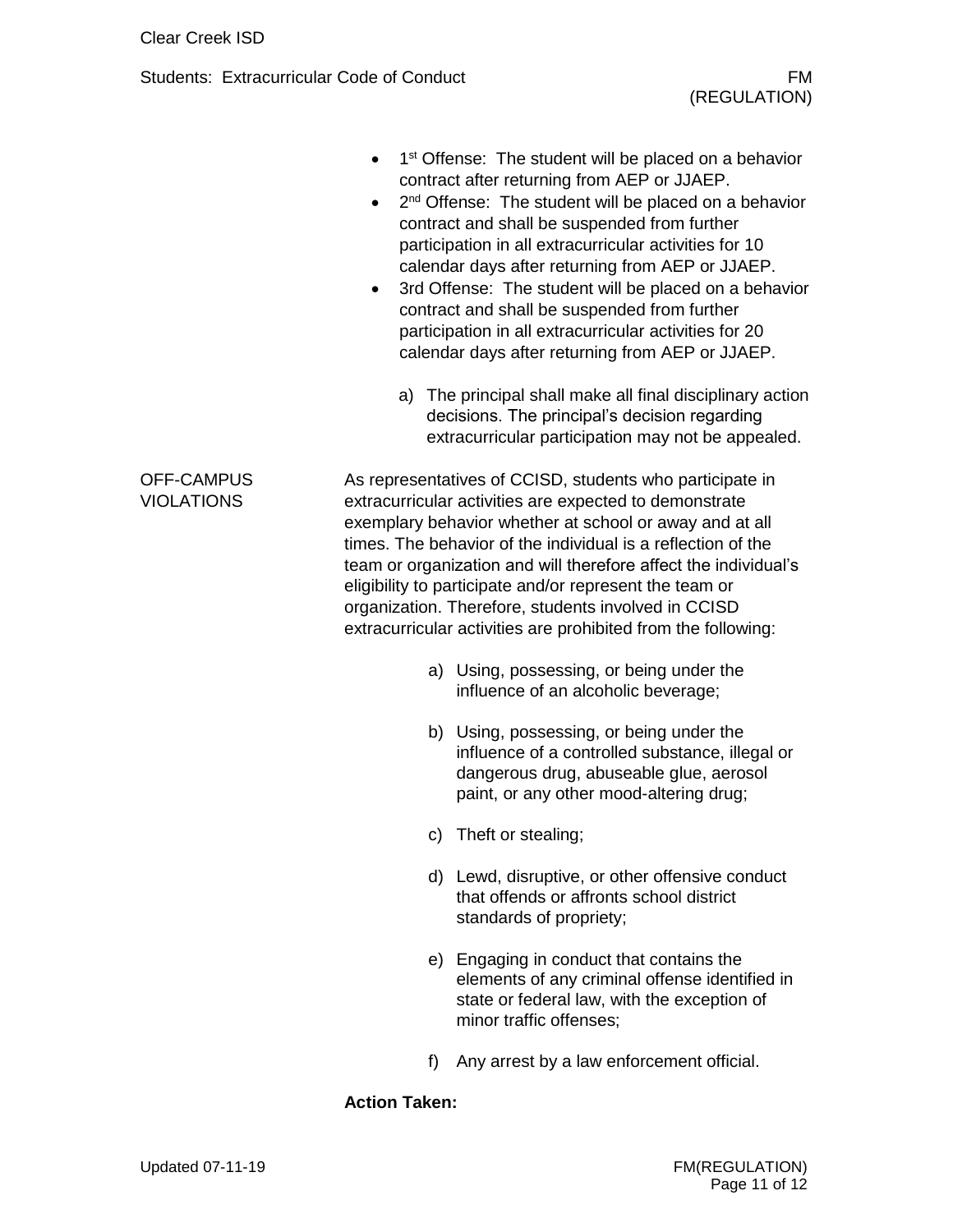- 1<sup>st</sup> Offense: The student will be placed on a behavior contract after returning from AEP or JJAEP.
- 2<sup>nd</sup> Offense: The student will be placed on a behavior contract and shall be suspended from further participation in all extracurricular activities for 10 calendar days after returning from AEP or JJAEP.
- 3rd Offense: The student will be placed on a behavior contract and shall be suspended from further participation in all extracurricular activities for 20 calendar days after returning from AEP or JJAEP.
	- a) The principal shall make all final disciplinary action decisions. The principal's decision regarding extracurricular participation may not be appealed.

As representatives of CCISD, students who participate in extracurricular activities are expected to demonstrate exemplary behavior whether at school or away and at all times. The behavior of the individual is a reflection of the team or organization and will therefore affect the individual's eligibility to participate and/or represent the team or organization. Therefore, students involved in CCISD extracurricular activities are prohibited from the following:

- a) Using, possessing, or being under the influence of an alcoholic beverage;
- b) Using, possessing, or being under the influence of a controlled substance, illegal or dangerous drug, abuseable glue, aerosol paint, or any other mood-altering drug;
- c) Theft or stealing;
- d) Lewd, disruptive, or other offensive conduct that offends or affronts school district standards of propriety;
- e) Engaging in conduct that contains the elements of any criminal offense identified in state or federal law, with the exception of minor traffic offenses;
- f) Any arrest by a law enforcement official.

## **Action Taken:**

# Updated 07-11-19 **FM(REGULATION)** Page 11 of 12

# OFF-CAMPUS VIOLATIONS